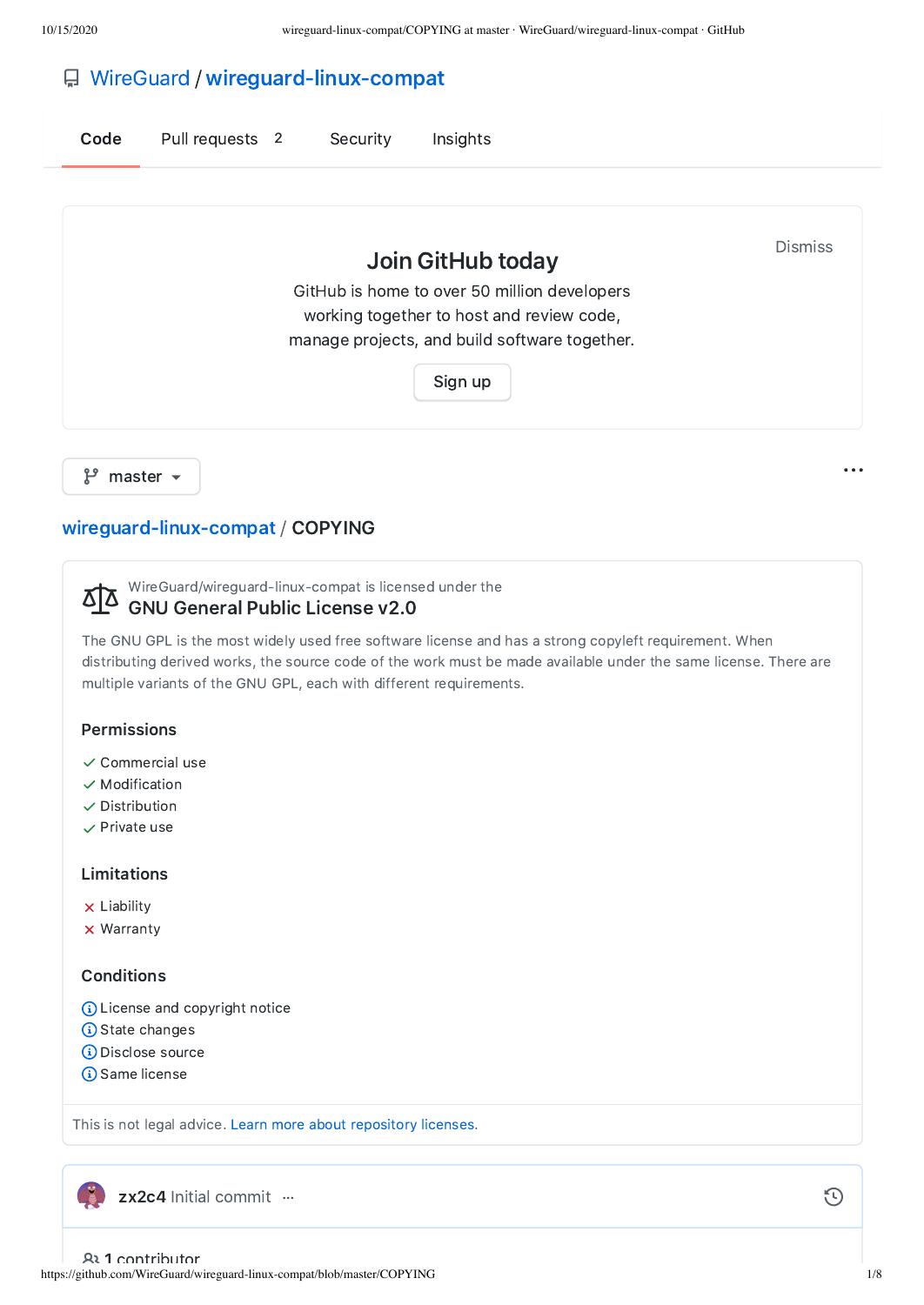# [WireGuard](https://github.com/WireGuard) / [wireguard-linux-compat](https://github.com/WireGuard/wireguard-linux-compat)

| Code | Pull requests 2 | Security | Insights                                                                                  |                |
|------|-----------------|----------|-------------------------------------------------------------------------------------------|----------------|
|      |                 |          | Join GitHub today                                                                         | <b>Dismiss</b> |
|      |                 |          | GitHub is home to over 50 million developers<br>working together to host and review code, |                |

manage projects, and build software together.

[Sign](https://github.com/join?source=prompt-blob-show&source_repo=WireGuard%2Fwireguard-linux-compat) up

 $\mathcal{C}$  master  $\sim$ 

## [wireguard-linux-compat](https://github.com/WireGuard/wireguard-linux-compat) / COPYING

WireGuard/wireguard-linux-compat is licensed under the

#### <u> 812</u> GNU General Public License v2.0

The GNU GPL is the most widely used free software license and has a strong copyleft requirement. When distributing derived works, the source code of the work must be made available under the same license. There are multiple variants of the GNU GPL, each with different requirements.

## Permissions

- $\checkmark$  Commercial use
- $\checkmark$  Modification
- $\checkmark$  Distribution
- $\checkmark$  Private use

## Limitations

- **x** Liability
- **x** Warranty

## **Conditions**

- License and copyright notice
- **G** State changes
- **Disclose source**
- **G** Same license

This is not legal advice. Learn more about [repository](https://docs.github.com/articles/licensing-a-repository/#disclaimer) licenses.

[zx2c4](https://github.com/zx2c4) Initial [commit](https://github.com/WireGuard/wireguard-linux-compat/commit/b448d6f35bf1d3faf961347c23835f7237548065) …

https://github.com/WireGuard/wireguard-linux-compat/blob/master/COPYING 1/8 1 contributor

 $\odot$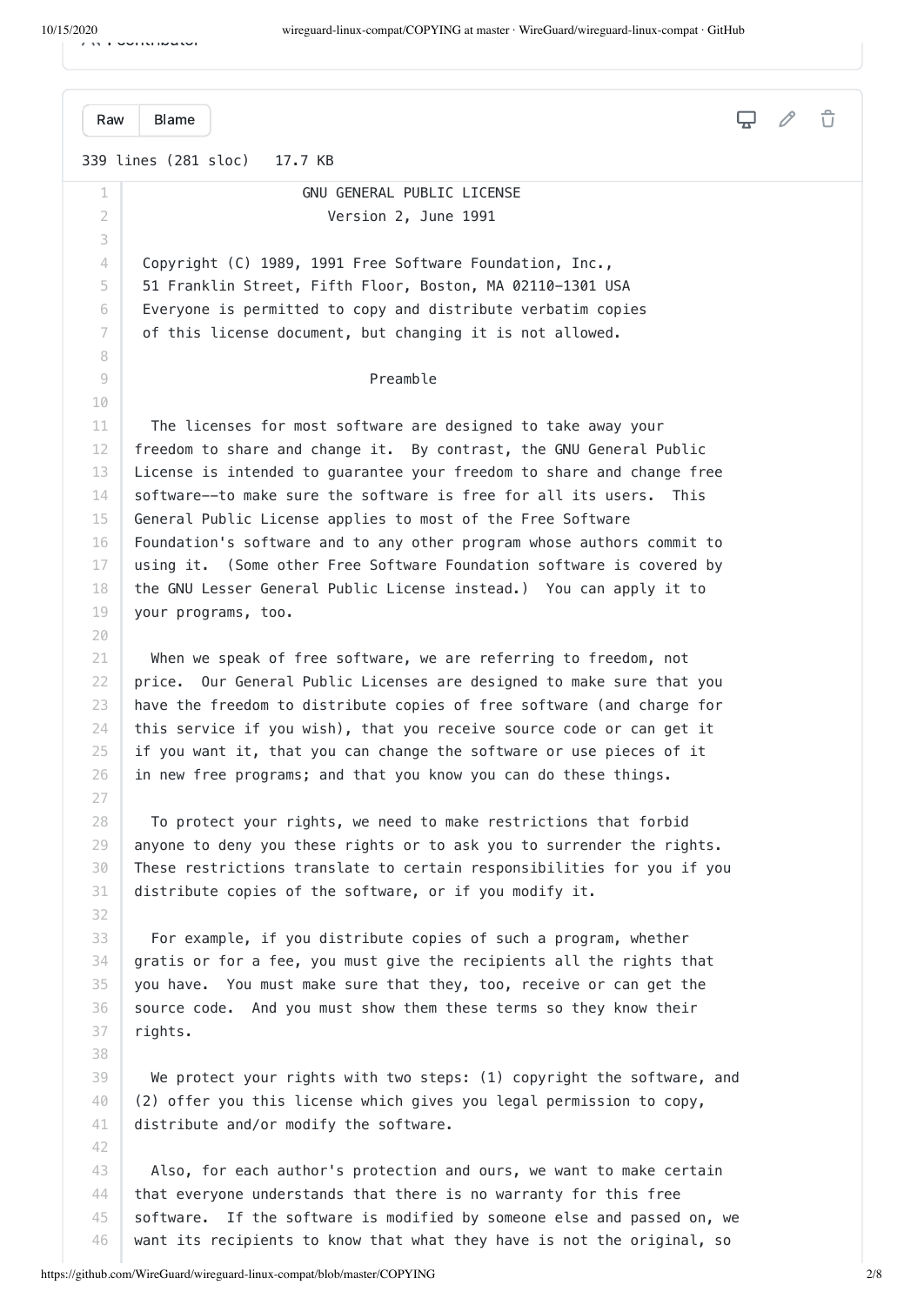1 contributor

 $\Box$ [Raw](https://github.com/WireGuard/wireguard-linux-compat/raw/master/COPYING) [Blame](https://github.com/WireGuard/wireguard-linux-compat/blame/master/COPYING) 339 lines (281 sloc) 17.7 KB 1 GNU GENERAL PUBLIC LICENSE  $\overline{\mathcal{L}}$  Version 2, June 1991 3  $\Delta$  Copyright (C) 1989, 1991 Free Software Foundation, Inc., 5 51 Franklin Street, Fifth Floor, Boston, MA 02110-1301 USA 6 Everyone is permitted to copy and distribute verbatim copies of this license document, but changing it is not allowed. 7 8 9 Preamble 10 The licenses for most software are designed to take away your 11 freedom to share and change it. By contrast, the GNU General Public 12 13 License is intended to guarantee your freedom to share and change free software--to make sure the software is free for all its users. This 14 General Public License applies to most of the Free Software 15 Foundation's software and to any other program whose authors commit to 16 using it. (Some other Free Software Foundation software is covered by 17 18 the GNU Lesser General Public License instead.) You can apply it to 19 your programs, too. 20 21 When we speak of free software, we are referring to freedom, not price. Our General Public Licenses are designed to make sure that you 22 23 have the freedom to distribute copies of free software (and charge for 24 this service if you wish), that you receive source code or can get it 25 if you want it, that you can change the software or use pieces of it 26 in new free programs; and that you know you can do these things. 27 28 To protect your rights, we need to make restrictions that forbid 29 anyone to deny you these rights or to ask you to surrender the rights. 30 These restrictions translate to certain responsibilities for you if you 31 distribute copies of the software, or if you modify it. 32 33 For example, if you distribute copies of such a program, whether 34 gratis or for a fee, you must give the recipients all the rights that you have. You must make sure that they, too, receive or can get the 35 36 source code. And you must show them these terms so they know their rights. 37 38 We protect your rights with two steps: (1) copyright the software, and 39 (2) offer you this license which gives you legal permission to copy, 40 41 distribute and/or modify the software. 42 43 Also, for each author's protection and ours, we want to make certain 44 that everyone understands that there is no warranty for this free 45 software. If the software is modified by someone else and passed on, we

want its recipients to know that what they have is not the original, so

46

 $\hat{U}$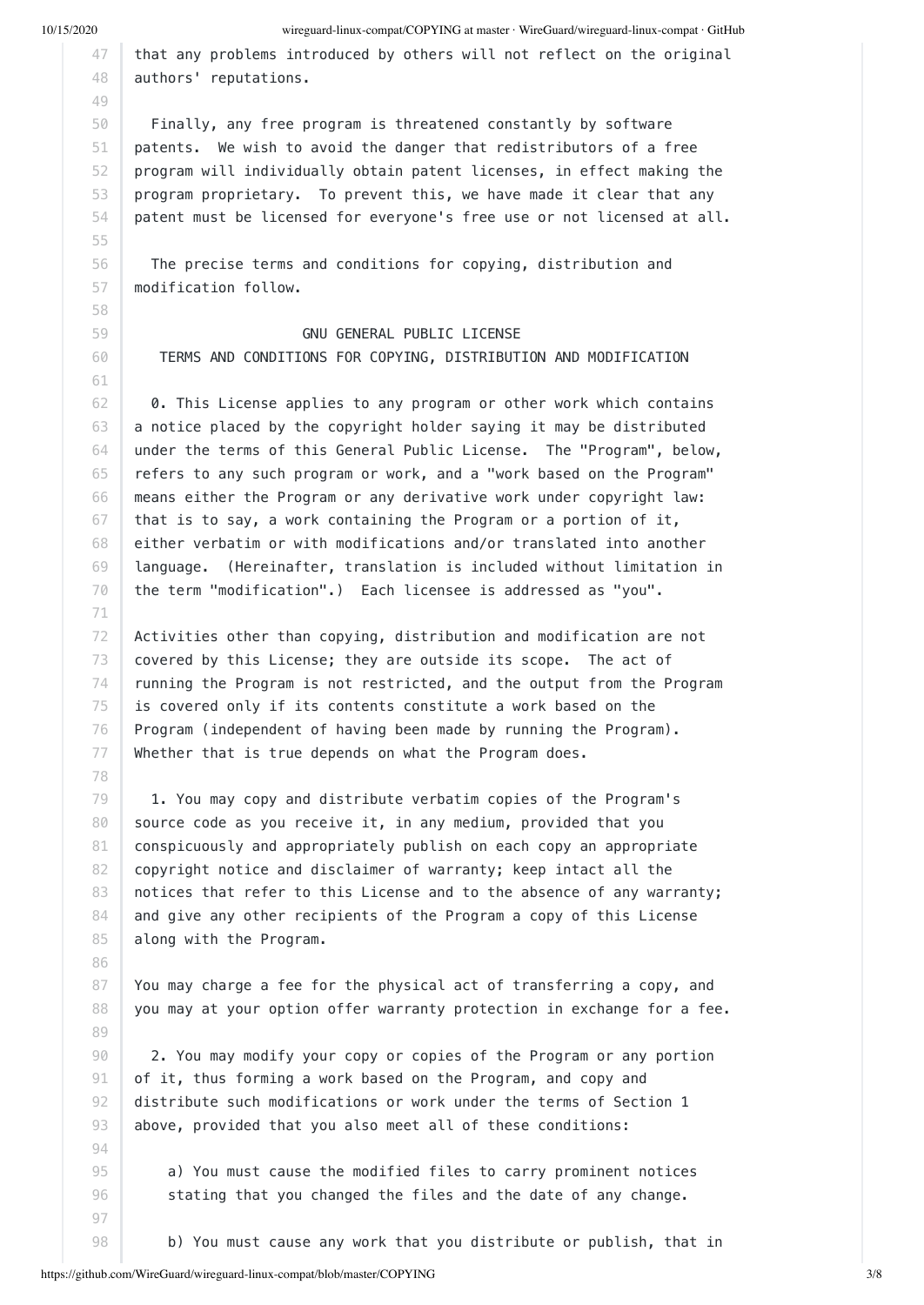55

71

78

86

89

10/15/2020 wireguard-linux-compat/COPYING at master · WireGuard/wireguard-linux-compat · GitHub

47 48 that any problems introduced by others will not reflect on the original authors' reputations.

50 51 52 53 54 Finally, any free program is threatened constantly by software patents. We wish to avoid the danger that redistributors of a free program will individually obtain patent licenses, in effect making the program proprietary. To prevent this, we have made it clear that any patent must be licensed for everyone's free use or not licensed at all.

56 57 The precise terms and conditions for copying, distribution and modification follow.

 GNU GENERAL PUBLIC LICENSE TERMS AND CONDITIONS FOR COPYING, DISTRIBUTION AND MODIFICATION

62 63 64 65 66 67 68 69 70 0. This License applies to any program or other work which contains a notice placed by the copyright holder saying it may be distributed under the terms of this General Public License. The "Program", below, refers to any such program or work, and a "work based on the Program" means either the Program or any derivative work under copyright law: that is to say, a work containing the Program or a portion of it, either verbatim or with modifications and/or translated into another language. (Hereinafter, translation is included without limitation in the term "modification".) Each licensee is addressed as "you".

72 73 74 75 76 77 Activities other than copying, distribution and modification are not covered by this License; they are outside its scope. The act of running the Program is not restricted, and the output from the Program is covered only if its contents constitute a work based on the Program (independent of having been made by running the Program). Whether that is true depends on what the Program does.

79 80 81 82 83 84 85 1. You may copy and distribute verbatim copies of the Program's source code as you receive it, in any medium, provided that you conspicuously and appropriately publish on each copy an appropriate copyright notice and disclaimer of warranty; keep intact all the notices that refer to this License and to the absence of any warranty; and give any other recipients of the Program a copy of this License along with the Program.

87 88 You may charge a fee for the physical act of transferring a copy, and you may at your option offer warranty protection in exchange for a fee.

90 91 92 93 2. You may modify your copy or copies of the Program or any portion of it, thus forming a work based on the Program, and copy and distribute such modifications or work under the terms of Section 1 above, provided that you also meet all of these conditions:

> a) You must cause the modified files to carry prominent notices stating that you changed the files and the date of any change.

b) You must cause any work that you distribute or publish, that in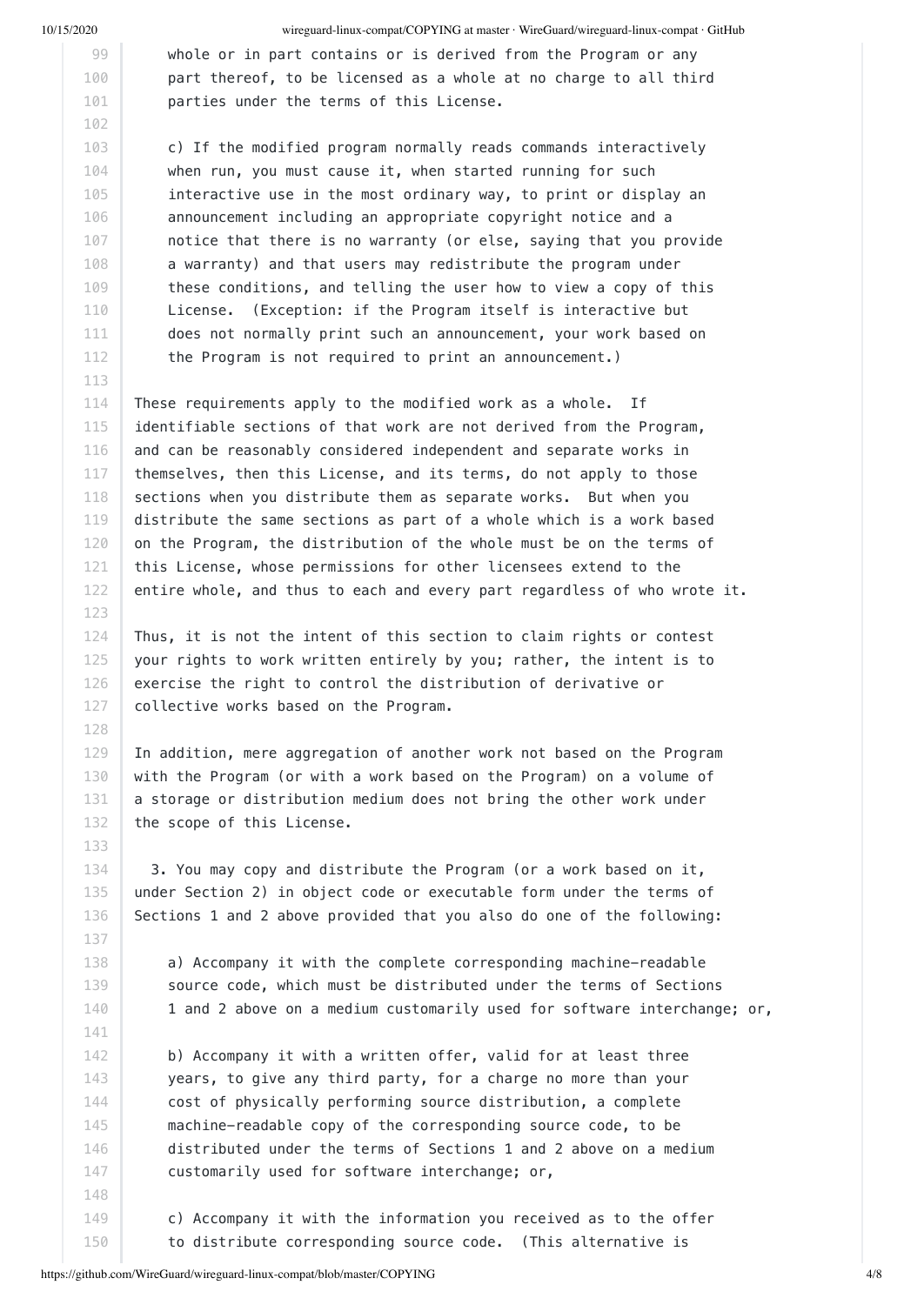123

128

10/15/2020 wireguard-linux-compat/COPYING at master · WireGuard/wireguard-linux-compat · GitHub

 whole or in part contains or is derived from the Program or any part thereof, to be licensed as a whole at no charge to all third parties under the terms of this License.

 c) If the modified program normally reads commands interactively when run, you must cause it, when started running for such interactive use in the most ordinary way, to print or display an announcement including an appropriate copyright notice and a notice that there is no warranty (or else, saying that you provide a warranty) and that users may redistribute the program under these conditions, and telling the user how to view a copy of this License. (Exception: if the Program itself is interactive but does not normally print such an announcement, your work based on the Program is not required to print an announcement.)

114 115 116 117 118 119 120 121 122 These requirements apply to the modified work as a whole. If identifiable sections of that work are not derived from the Program, and can be reasonably considered independent and separate works in themselves, then this License, and its terms, do not apply to those sections when you distribute them as separate works. But when you distribute the same sections as part of a whole which is a work based on the Program, the distribution of the whole must be on the terms of this License, whose permissions for other licensees extend to the entire whole, and thus to each and every part regardless of who wrote it.

124 125 126 127 Thus, it is not the intent of this section to claim rights or contest your rights to work written entirely by you; rather, the intent is to exercise the right to control the distribution of derivative or collective works based on the Program.

129 130 131 132 In addition, mere aggregation of another work not based on the Program with the Program (or with a work based on the Program) on a volume of a storage or distribution medium does not bring the other work under the scope of this License.

 3. You may copy and distribute the Program (or a work based on it, under Section 2) in object code or executable form under the terms of Sections 1 and 2 above provided that you also do one of the following:

 a) Accompany it with the complete corresponding machine-readable source code, which must be distributed under the terms of Sections 1 and 2 above on a medium customarily used for software interchange; or,

 b) Accompany it with a written offer, valid for at least three years, to give any third party, for a charge no more than your cost of physically performing source distribution, a complete machine-readable copy of the corresponding source code, to be distributed under the terms of Sections 1 and 2 above on a medium customarily used for software interchange; or,

 c) Accompany it with the information you received as to the offer to distribute corresponding source code. (This alternative is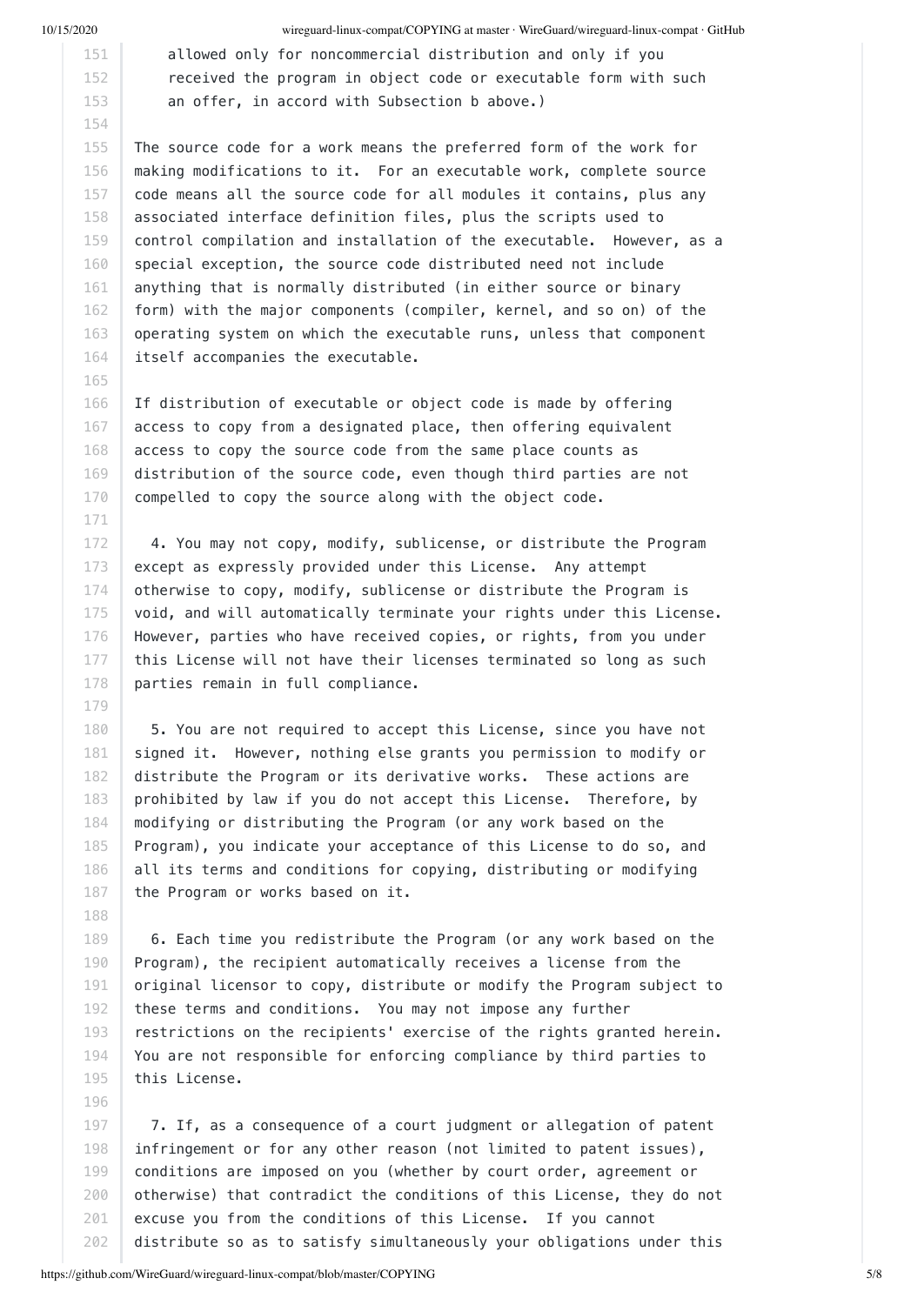165

171

179

188

196

10/15/2020 wireguard-linux-compat/COPYING at master · WireGuard/wireguard-linux-compat · GitHub

 allowed only for noncommercial distribution and only if you received the program in object code or executable form with such an offer, in accord with Subsection b above.)

155 156 157 158 159 160 161 162 163 164 The source code for a work means the preferred form of the work for making modifications to it. For an executable work, complete source code means all the source code for all modules it contains, plus any associated interface definition files, plus the scripts used to control compilation and installation of the executable. However, as a special exception, the source code distributed need not include anything that is normally distributed (in either source or binary form) with the major components (compiler, kernel, and so on) of the operating system on which the executable runs, unless that component itself accompanies the executable.

166 167 168 169 170 If distribution of executable or object code is made by offering access to copy from a designated place, then offering equivalent access to copy the source code from the same place counts as distribution of the source code, even though third parties are not compelled to copy the source along with the object code.

172 173 174 175 176 177 178 4. You may not copy, modify, sublicense, or distribute the Program except as expressly provided under this License. Any attempt otherwise to copy, modify, sublicense or distribute the Program is void, and will automatically terminate your rights under this License. However, parties who have received copies, or rights, from you under this License will not have their licenses terminated so long as such parties remain in full compliance.

180 181 182 183 184 185 186 187 5. You are not required to accept this License, since you have not signed it. However, nothing else grants you permission to modify or distribute the Program or its derivative works. These actions are prohibited by law if you do not accept this License. Therefore, by modifying or distributing the Program (or any work based on the Program), you indicate your acceptance of this License to do so, and all its terms and conditions for copying, distributing or modifying the Program or works based on it.

189 190 191 192 193 194 195 6. Each time you redistribute the Program (or any work based on the Program), the recipient automatically receives a license from the original licensor to copy, distribute or modify the Program subject to these terms and conditions. You may not impose any further restrictions on the recipients' exercise of the rights granted herein. You are not responsible for enforcing compliance by third parties to this License.

197 198 199 200 201 202 7. If, as a consequence of a court judgment or allegation of patent infringement or for any other reason (not limited to patent issues), conditions are imposed on you (whether by court order, agreement or otherwise) that contradict the conditions of this License, they do not excuse you from the conditions of this License. If you cannot distribute so as to satisfy simultaneously your obligations under this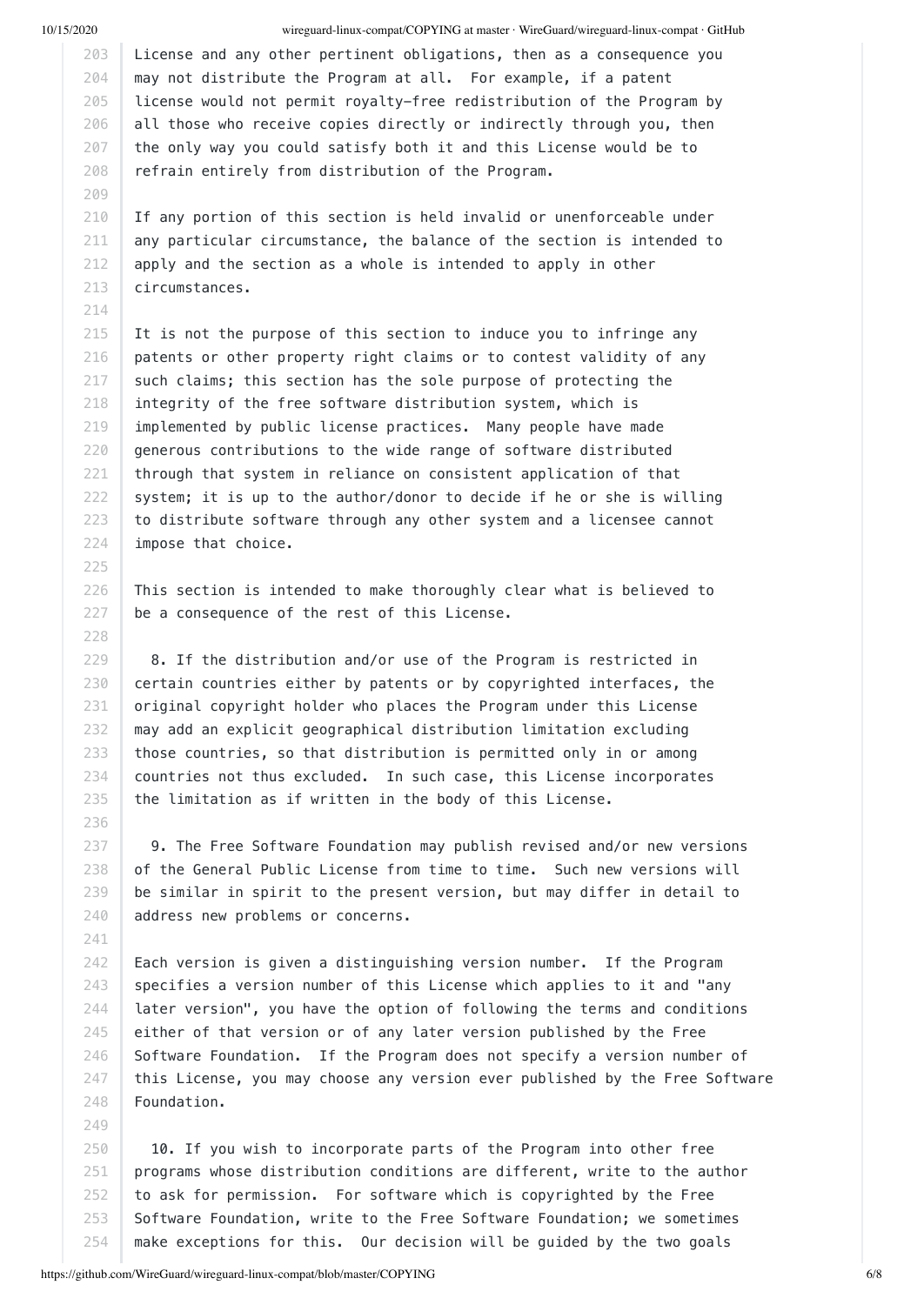214

225

227 228

236

241

249

#### 10/15/2020 wireguard-linux-compat/COPYING at master · WireGuard/wireguard-linux-compat · GitHub

203 204 205 206 207 208 License and any other pertinent obligations, then as a consequence you may not distribute the Program at all. For example, if a patent license would not permit royalty-free redistribution of the Program by all those who receive copies directly or indirectly through you, then the only way you could satisfy both it and this License would be to refrain entirely from distribution of the Program.

210 211 212 213 If any portion of this section is held invalid or unenforceable under any particular circumstance, the balance of the section is intended to apply and the section as a whole is intended to apply in other circumstances.

215 216 217 218 219 220 221 222 223 224 It is not the purpose of this section to induce you to infringe any patents or other property right claims or to contest validity of any such claims; this section has the sole purpose of protecting the integrity of the free software distribution system, which is implemented by public license practices. Many people have made generous contributions to the wide range of software distributed through that system in reliance on consistent application of that system; it is up to the author/donor to decide if he or she is willing to distribute software through any other system and a licensee cannot impose that choice.

226 This section is intended to make thoroughly clear what is believed to be a consequence of the rest of this License.

229 230 231 232 233 234 235 8. If the distribution and/or use of the Program is restricted in certain countries either by patents or by copyrighted interfaces, the original copyright holder who places the Program under this License may add an explicit geographical distribution limitation excluding those countries, so that distribution is permitted only in or among countries not thus excluded. In such case, this License incorporates the limitation as if written in the body of this License.

237 238 239 240 9. The Free Software Foundation may publish revised and/or new versions of the General Public License from time to time. Such new versions will be similar in spirit to the present version, but may differ in detail to address new problems or concerns.

242 243 244 245 246 247 248 Each version is given a distinguishing version number. If the Program specifies a version number of this License which applies to it and "any later version", you have the option of following the terms and conditions either of that version or of any later version published by the Free Software Foundation. If the Program does not specify a version number of this License, you may choose any version ever published by the Free Software Foundation.

250 251 252 253 254 10. If you wish to incorporate parts of the Program into other free programs whose distribution conditions are different, write to the author to ask for permission. For software which is copyrighted by the Free Software Foundation, write to the Free Software Foundation; we sometimes make exceptions for this. Our decision will be guided by the two goals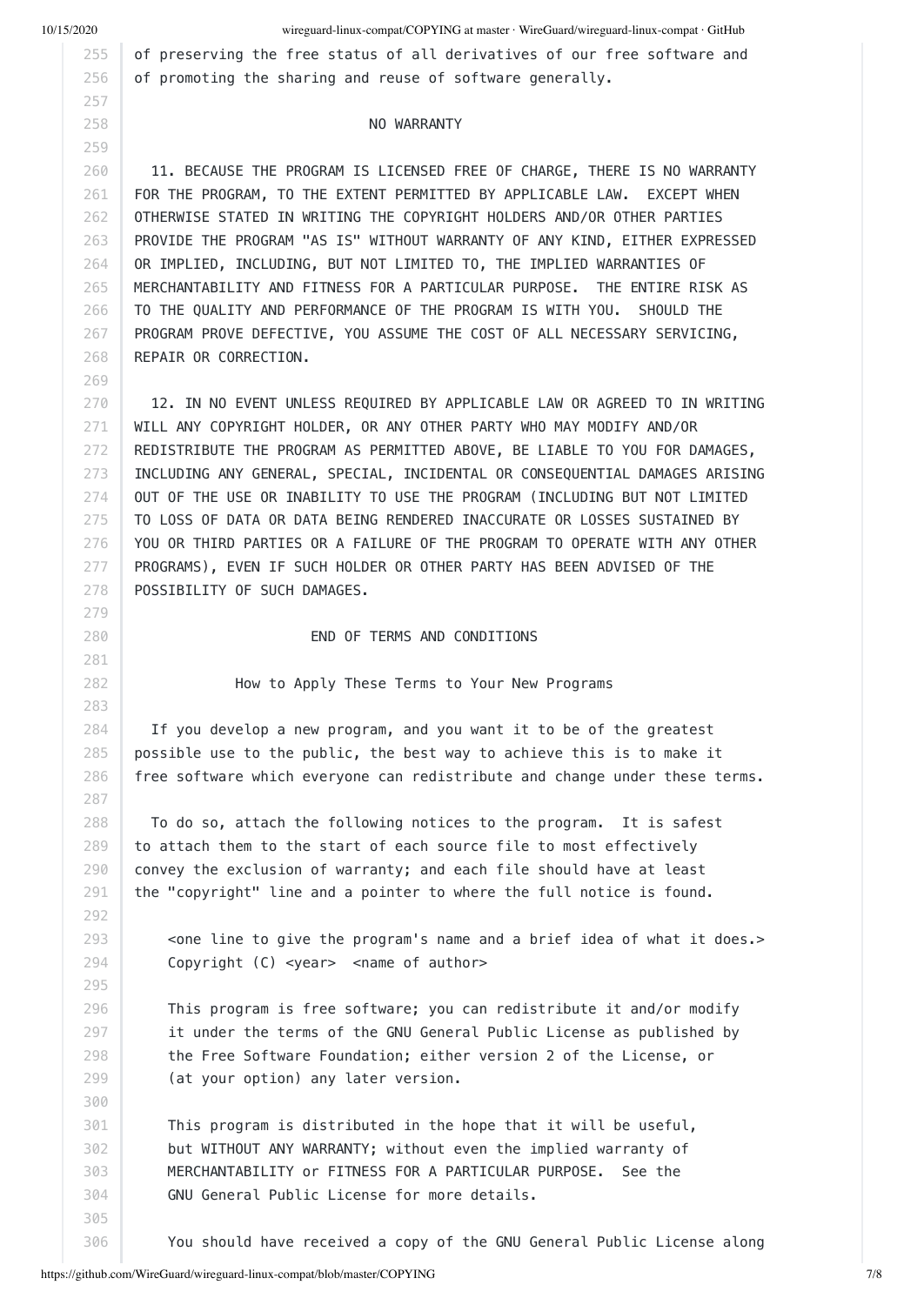269

10/15/2020 wireguard-linux-compat/COPYING at master · WireGuard/wireguard-linux-compat · GitHub

of preserving the free status of all derivatives of our free software and of promoting the sharing and reuse of software generally.

#### NO WARRANTY

260 261 262 263 264 265 266 267 268 11. BECAUSE THE PROGRAM IS LICENSED FREE OF CHARGE, THERE IS NO WARRANTY FOR THE PROGRAM, TO THE EXTENT PERMITTED BY APPLICABLE LAW. EXCEPT WHEN OTHERWISE STATED IN WRITING THE COPYRIGHT HOLDERS AND/OR OTHER PARTIES PROVIDE THE PROGRAM "AS IS" WITHOUT WARRANTY OF ANY KIND, EITHER EXPRESSED OR IMPLIED, INCLUDING, BUT NOT LIMITED TO, THE IMPLIED WARRANTIES OF MERCHANTABILITY AND FITNESS FOR A PARTICULAR PURPOSE. THE ENTIRE RISK AS TO THE QUALITY AND PERFORMANCE OF THE PROGRAM IS WITH YOU. SHOULD THE PROGRAM PROVE DEFECTIVE, YOU ASSUME THE COST OF ALL NECESSARY SERVICING, REPAIR OR CORRECTION.

270 271 272 273 274 275 276 277 278 12. IN NO EVENT UNLESS REQUIRED BY APPLICABLE LAW OR AGREED TO IN WRITING WILL ANY COPYRIGHT HOLDER, OR ANY OTHER PARTY WHO MAY MODIFY AND/OR REDISTRIBUTE THE PROGRAM AS PERMITTED ABOVE, BE LIABLE TO YOU FOR DAMAGES, INCLUDING ANY GENERAL, SPECIAL, INCIDENTAL OR CONSEQUENTIAL DAMAGES ARISING OUT OF THE USE OR INABILITY TO USE THE PROGRAM (INCLUDING BUT NOT LIMITED TO LOSS OF DATA OR DATA BEING RENDERED INACCURATE OR LOSSES SUSTAINED BY YOU OR THIRD PARTIES OR A FAILURE OF THE PROGRAM TO OPERATE WITH ANY OTHER PROGRAMS), EVEN IF SUCH HOLDER OR OTHER PARTY HAS BEEN ADVISED OF THE POSSIBILITY OF SUCH DAMAGES.

END OF TERMS AND CONDITIONS

How to Apply These Terms to Your New Programs

284 285 286 If you develop a new program, and you want it to be of the greatest possible use to the public, the best way to achieve this is to make it free software which everyone can redistribute and change under these terms.

 To do so, attach the following notices to the program. It is safest to attach them to the start of each source file to most effectively convey the exclusion of warranty; and each file should have at least the "copyright" line and a pointer to where the full notice is found.

 <one line to give the program's name and a brief idea of what it does.> Copyright (C) <year> <name of author>

 This program is free software; you can redistribute it and/or modify it under the terms of the GNU General Public License as published by the Free Software Foundation; either version 2 of the License, or (at your option) any later version.

 This program is distributed in the hope that it will be useful, but WITHOUT ANY WARRANTY; without even the implied warranty of MERCHANTABILITY or FITNESS FOR A PARTICULAR PURPOSE. See the GNU General Public License for more details.

You should have received a copy of the GNU General Public License along